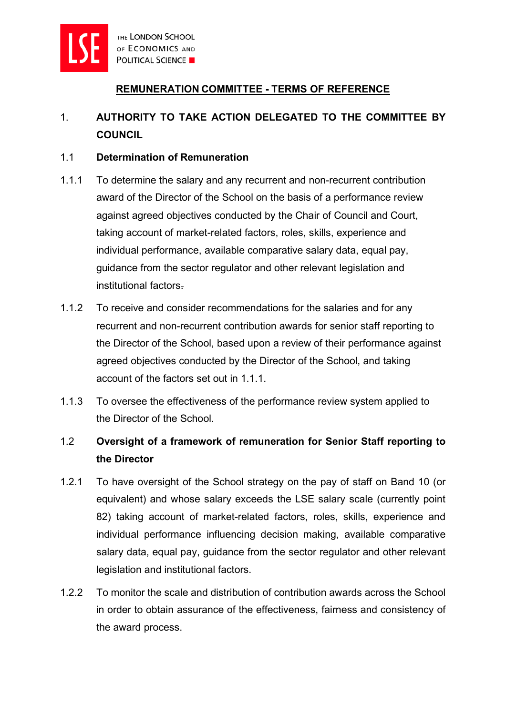

### **REMUNERATION COMMITTEE - TERMS OF REFERENCE**

# 1. **AUTHORITY TO TAKE ACTION DELEGATED TO THE COMMITTEE BY COUNCIL**

### 1.1 **Determination of Remuneration**

- 1.1.1 To determine the salary and any recurrent and non-recurrent contribution award of the Director of the School on the basis of a performance review against agreed objectives conducted by the Chair of Council and Court, taking account of market-related factors, roles, skills, experience and individual performance, available comparative salary data, equal pay, guidance from the sector regulator and other relevant legislation and institutional factors.
- 1.1.2 To receive and consider recommendations for the salaries and for any recurrent and non-recurrent contribution awards for senior staff reporting to the Director of the School, based upon a review of their performance against agreed objectives conducted by the Director of the School, and taking account of the factors set out in 1.1.1.
- 1.1.3 To oversee the effectiveness of the performance review system applied to the Director of the School.

## 1.2 **Oversight of a framework of remuneration for Senior Staff reporting to the Director**

- 1.2.1 To have oversight of the School strategy on the pay of staff on Band 10 (or equivalent) and whose salary exceeds the LSE salary scale (currently point 82) taking account of market-related factors, roles, skills, experience and individual performance influencing decision making, available comparative salary data, equal pay, guidance from the sector regulator and other relevant legislation and institutional factors.
- 1.2.2 To monitor the scale and distribution of contribution awards across the School in order to obtain assurance of the effectiveness, fairness and consistency of the award process.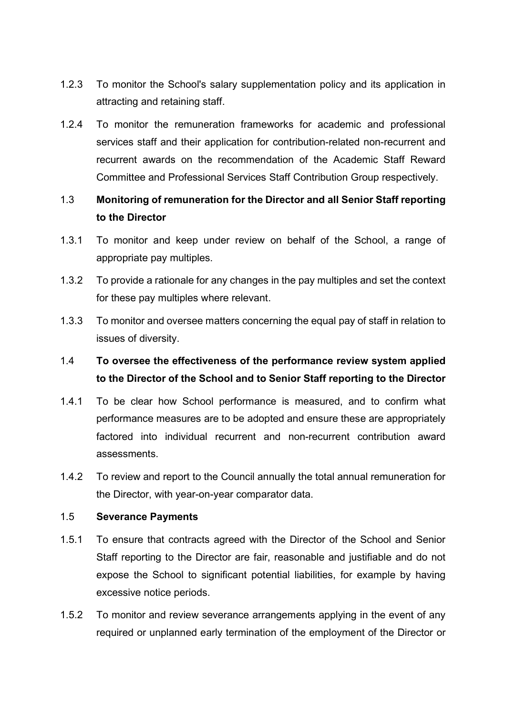- 1.2.3 To monitor the School's salary supplementation policy and its application in attracting and retaining staff.
- 1.2.4 To monitor the remuneration frameworks for academic and professional services staff and their application for contribution-related non-recurrent and recurrent awards on the recommendation of the Academic Staff Reward Committee and Professional Services Staff Contribution Group respectively.

## 1.3 **Monitoring of remuneration for the Director and all Senior Staff reporting to the Director**

- 1.3.1 To monitor and keep under review on behalf of the School, a range of appropriate pay multiples.
- 1.3.2 To provide a rationale for any changes in the pay multiples and set the context for these pay multiples where relevant.
- 1.3.3 To monitor and oversee matters concerning the equal pay of staff in relation to issues of diversity.

## 1.4 **To oversee the effectiveness of the performance review system applied to the Director of the School and to Senior Staff reporting to the Director**

- 1.4.1 To be clear how School performance is measured, and to confirm what performance measures are to be adopted and ensure these are appropriately factored into individual recurrent and non-recurrent contribution award assessments.
- 1.4.2 To review and report to the Council annually the total annual remuneration for the Director, with year-on-year comparator data.

### 1.5 **Severance Payments**

- 1.5.1 To ensure that contracts agreed with the Director of the School and Senior Staff reporting to the Director are fair, reasonable and justifiable and do not expose the School to significant potential liabilities, for example by having excessive notice periods.
- 1.5.2 To monitor and review severance arrangements applying in the event of any required or unplanned early termination of the employment of the Director or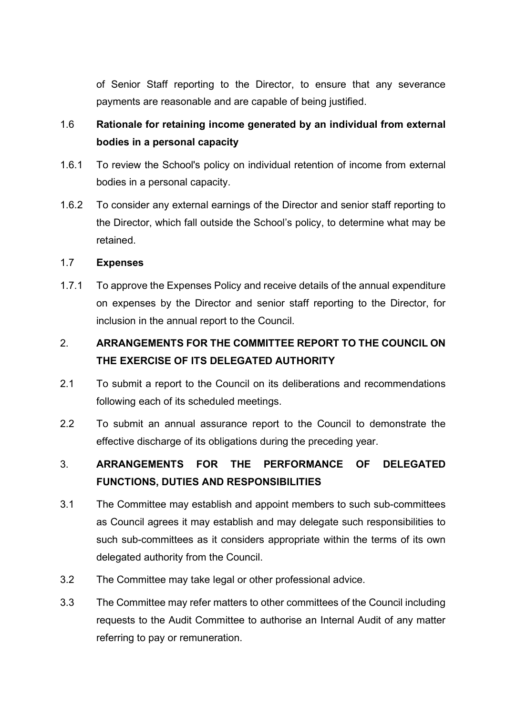of Senior Staff reporting to the Director, to ensure that any severance payments are reasonable and are capable of being justified.

## 1.6 **Rationale for retaining income generated by an individual from external bodies in a personal capacity**

- 1.6.1 To review the School's policy on individual retention of income from external bodies in a personal capacity.
- 1.6.2 To consider any external earnings of the Director and senior staff reporting to the Director, which fall outside the School's policy, to determine what may be retained.

#### 1.7 **Expenses**

1.7.1 To approve the Expenses Policy and receive details of the annual expenditure on expenses by the Director and senior staff reporting to the Director, for inclusion in the annual report to the Council.

# 2. **ARRANGEMENTS FOR THE COMMITTEE REPORT TO THE COUNCIL ON THE EXERCISE OF ITS DELEGATED AUTHORITY**

- 2.1 To submit a report to the Council on its deliberations and recommendations following each of its scheduled meetings.
- 2.2 To submit an annual assurance report to the Council to demonstrate the effective discharge of its obligations during the preceding year.

## 3. **ARRANGEMENTS FOR THE PERFORMANCE OF DELEGATED FUNCTIONS, DUTIES AND RESPONSIBILITIES**

- 3.1 The Committee may establish and appoint members to such sub-committees as Council agrees it may establish and may delegate such responsibilities to such sub-committees as it considers appropriate within the terms of its own delegated authority from the Council.
- 3.2 The Committee may take legal or other professional advice.
- 3.3 The Committee may refer matters to other committees of the Council including requests to the Audit Committee to authorise an Internal Audit of any matter referring to pay or remuneration.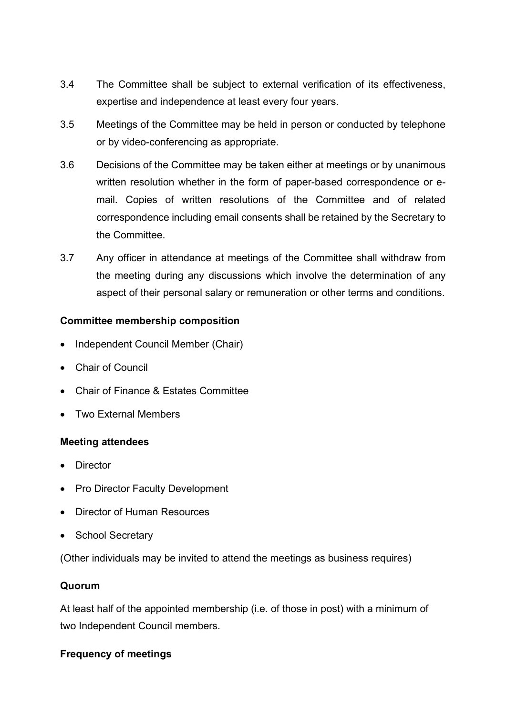- 3.4 The Committee shall be subject to external verification of its effectiveness, expertise and independence at least every four years.
- 3.5 Meetings of the Committee may be held in person or conducted by telephone or by video-conferencing as appropriate.
- 3.6 Decisions of the Committee may be taken either at meetings or by unanimous written resolution whether in the form of paper-based correspondence or email. Copies of written resolutions of the Committee and of related correspondence including email consents shall be retained by the Secretary to the Committee.
- 3.7 Any officer in attendance at meetings of the Committee shall withdraw from the meeting during any discussions which involve the determination of any aspect of their personal salary or remuneration or other terms and conditions.

#### **Committee membership composition**

- Independent Council Member (Chair)
- Chair of Council
- Chair of Finance & Estates Committee
- Two External Members

### **Meeting attendees**

- **Director**
- **Pro Director Faculty Development**
- Director of Human Resources
- School Secretary

(Other individuals may be invited to attend the meetings as business requires)

### **Quorum**

At least half of the appointed membership (i.e. of those in post) with a minimum of two Independent Council members.

### **Frequency of meetings**